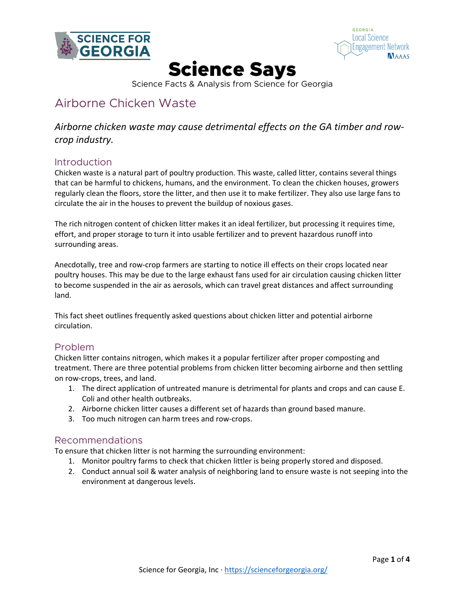



# Science Says

Science Facts & Analysis from Science for Georgia

# Airborne Chicken Waste

# *Airborne chicken waste may cause detrimental effects on the GA timber and rowcrop industry.*

# Introduction

Chicken waste is a natural part of poultry production. This waste, called litter, contains several things that can be harmful to chickens, humans, and the environment. To clean the chicken houses, growers regularly clean the floors, store the litter, and then use it to make fertilizer. They also use large fans to circulate the air in the houses to prevent the buildup of noxious gases.

The rich nitrogen content of chicken litter makes it an ideal fertilizer, but processing it requires time, effort, and proper storage to turn it into usable fertilizer and to prevent hazardous runoff into surrounding areas.

Anecdotally, tree and row-crop farmers are starting to notice ill effects on their crops located near poultry houses. This may be due to the large exhaust fans used for air circulation causing chicken litter to become suspended in the air as aerosols, which can travel great distances and affect surrounding land.

This fact sheet outlines frequently asked questions about chicken litter and potential airborne circulation.

# Problem

Chicken litter contains nitrogen, which makes it a popular fertilizer after proper composting and treatment. There are three potential problems from chicken litter becoming airborne and then settling on row-crops, trees, and land.

- 1. The direct application of untreated manure is detrimental for plants and crops and can cause E. Coli and other health outbreaks.
- 2. Airborne chicken litter causes a different set of hazards than ground based manure.
- 3. Too much nitrogen can harm trees and row-crops.

# Recommendations

To ensure that chicken litter is not harming the surrounding environment:

- 1. Monitor poultry farms to check that chicken littler is being properly stored and disposed.
- 2. Conduct annual soil & water analysis of neighboring land to ensure waste is not seeping into the environment at dangerous levels.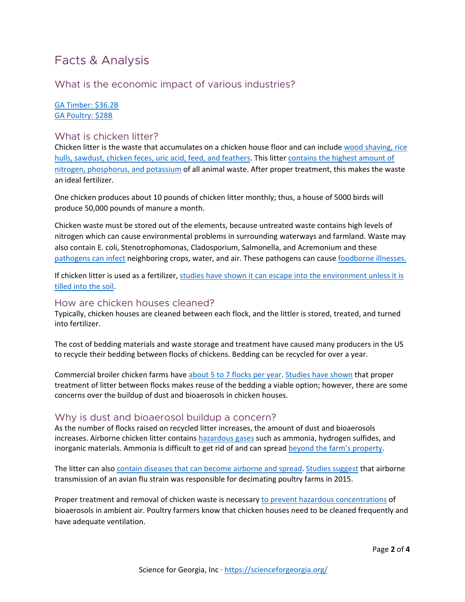# Facts & Analysis

# What is the economic impact of various industries?

#### [GA Timber: \\$36.2B](https://allongeorgia.com/georgia-business/forest-industry-continues-to-boost-georgia-economy/) [GA Poultry: \\$28B](https://bishop.house.gov/media-center/op-eds/georgia-s-poultry-industry-and-its-impact-on-the-local-economy-and-global-trade#:%7E:text=The%20University%20of%20Georgia%20(2012,be%20%2428%20billion%20per%20year.&text=On%20an%20average%20day%2C%20Georgia,(University%20of%20Georgia%202012).)

#### What is chicken litter?

Chicken litter is the waste that accumulates on a chicken house floor and can include [wood shaving, rice](https://acsess.onlinelibrary.wiley.com/doi/pdfdirect/10.1002/jeq2.20081)  [hulls, sawdust, chicken feces, uric acid, feed, and feathers.](https://acsess.onlinelibrary.wiley.com/doi/pdfdirect/10.1002/jeq2.20081) This litter contains [the highest amount of](https://en.wikipedia.org/wiki/Chicken_manure#:%7E:text=Chicken%20manure%20is%20the%20feces,nitrogen%2C%20phosphorus%2C%20and%20potassium.&text=Fresh%20chicken%20manure%20contains%200.5,1.2%25%20to%201.7%20%25potassium.) [nitrogen, phosphorus, and potassium](https://en.wikipedia.org/wiki/Chicken_manure#:%7E:text=Chicken%20manure%20is%20the%20feces,nitrogen%2C%20phosphorus%2C%20and%20potassium.&text=Fresh%20chicken%20manure%20contains%200.5,1.2%25%20to%201.7%20%25potassium.) of all animal waste. After proper treatment, this makes the waste an ideal fertilizer.

One chicken produces about 10 pounds of chicken litter monthly; thus, a house of 5000 birds will produce 50,000 pounds of manure a month.

Chicken waste must be stored out of the elements, because untreated waste contains high levels of nitrogen which can cause environmental problems in surrounding waterways and farmland. Waste may also contain E. coli, Stenotrophomonas, Cladosporium, Salmonella, and Acremonium and these [pathogens can infect](https://content.sciendo.com/configurable/contentpage/journals$002feko$002f34$002f1$002farticle-p89.xml) neighboring crops, water, and air. These pathogens can cause [foodborne illnesses.](https://www.ncbi.nlm.nih.gov/pmc/articles/PMC3375761/) 

If chicken litter is used as a fertilizer, [studies have shown it can escape into the environment unless it is](https://sfamjournals.onlinelibrary.wiley.com/doi/full/10.1111/1751-7915.13632)  [tilled into the soil.](https://sfamjournals.onlinelibrary.wiley.com/doi/full/10.1111/1751-7915.13632)

#### How are chicken houses cleaned?

Typically, chicken houses are cleaned between each flock, and the littler is stored, treated, and turned into fertilizer.

The cost of bedding materials and waste storage and treatment have caused many producers in the US to recycle their bedding between flocks of chickens. Bedding can be recycled for over a year.

Commercial broiler chicken farms hav[e about 5 to 7 flocks per year.](https://www.thepoultrysite.com/articles/contract-broiler-production-questions-and-answers) [Studies have shown](https://acsess.onlinelibrary.wiley.com/doi/pdfdirect/10.1002/jeq2.20081) that proper treatment of litter between flocks makes reuse of the bedding a viable option; however, there are some concerns over the buildup of dust and bioaerosols in chicken houses.

#### Why is dust and bioaerosol buildup a concern?

As the number of flocks raised on recycled litter increases, the amount of dust and bioaerosols increases. Airborne chicken litter contain[s hazardous gases](doi:10.1515/eko-2015-0010) such as ammonia, hydrogen sulfides, and inorganic materials. Ammonia is difficult to get rid of and can spread [beyond the farm's property.](https://www.youtube.com/watch?v=eGFa4euUqN0)

The litter can also [contain diseases that can become airborne and spread.](https://pubmed.ncbi.nlm.nih.gov/25035165/) [Studies suggest](https://www.nature.com/articles/s41598-019-47788-z) that airborne transmission of an avian flu strain was responsible for decimating poultry farms in 2015.

Proper treatment and removal of chicken waste is necessary [to prevent hazardous concentrations](https://www.youtube.com/watch?v=eGFa4euUqN0) of bioaerosols in ambient air. Poultry farmers know that chicken houses need to be cleaned frequently and have adequate ventilation.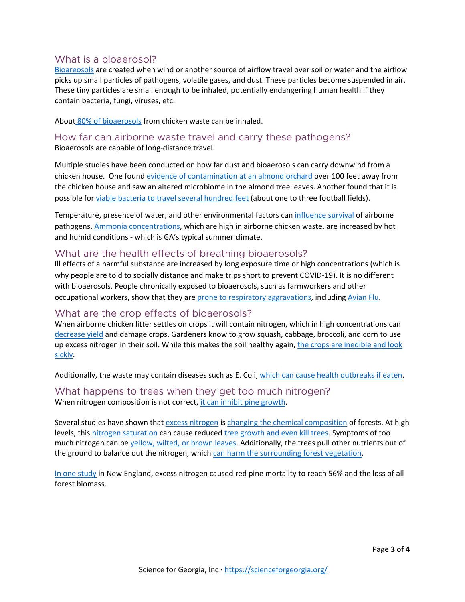#### What is a bioaerosol?

[Bioareosols](https://en.wikipedia.org/wiki/Bioaerosol) are created when wind or another source of airflow travel over soil or water and the airflow picks up small particles of pathogens, volatile gases, and dust. These particles become suspended in air. These tiny particles are small enough to be inhaled, potentially endangering human health if they contain bacteria, fungi, viruses, etc.

About [80% of bioaerosols](https://doi.org/10.3155/1047-3289.61.8.882) from chicken waste can be inhaled.

How far can airborne waste travel and carry these pathogens? Bioaerosols are capable of long-distance travel.

Multiple studies have been conducted on how far dust and bioaerosols can carry downwind from a chicken house. One found [evidence of contamination at an almond orchard](https://aem.asm.org/content/aem/86/15/e00573-20.full.pdf) over 100 feet away from the chicken house and saw an altered microbiome in the almond tree leaves. Another found that it is possible for [viable bacteria to travel several hundred feet](https://link.springer.com/article/10.1007/s10453-011-9202-6) (about one to three football fields).

Temperature, presence of water, and other environmental factors can *influence survival* of airborne pathogens. [Ammonia concentrations,](https://www.youtube.com/watch?v=eGFa4euUqN0) which are high in airborne chicken waste, are increased by hot and humid conditions - which is GA's typical summer climate.

#### What are the health effects of breathing bioaerosols?

Ill effects of a harmful substance are increased by long exposure time or high concentrations (which is why people are told to socially distance and make trips short to prevent COVID-19). It is no different with bioaerosols. People chronically exposed to bioaerosols, such as farmworkers and other occupational workers, show that they are [prone to respiratory aggravations,](https://www.sciencedirect.com/science/article/abs/pii/S096085240900282X?via%3Dihub) including [Avian Flu.](https://www.cdc.gov/flu/avianflu/avian-in-humans.htm)

# What are the crop effects of bioaerosols?

When airborne chicken litter settles on crops it will contain nitrogen, which in high concentrations can [decrease yield](https://www.ncbi.nlm.nih.gov/pmc/articles/PMC4025000/pdf/ijerph-11-04427.pdf) and damage crops. Gardeners know to grow squash, cabbage, broccoli, and corn to use up excess nitrogen in their soil. While this makes the soil healthy again, [the crops are inedible and look](https://www.gardeningknowhow.com/garden-how-to/soil-fertilizers/too-much-nitrogen-soil.htm)  [sickly.](https://www.gardeningknowhow.com/garden-how-to/soil-fertilizers/too-much-nitrogen-soil.htm)

Additionally, the waste may contain diseases such as E. Coli, [which can cause health outbreaks if eaten.](https://www.ncbi.nlm.nih.gov/pmc/articles/PMC3375761/)

What happens to trees when they get too much nitrogen? When nitrogen composition is not correct, [it can inhibit pine growth.](https://agupubs.onlinelibrary.wiley.com/doi/full/10.1002/2015JG003048)

Several studies have shown that [excess nitrogen](https://www.sciencedirect.com/science/article/pii/S1352231016302643) i[s changing the chemical composition](https://harvardforest1.fas.harvard.edu/sites/harvardforest.fas.harvard.edu/files/publications/pdfs/Aber_BioScience_2003.pdf) of forests. At high levels, this [nitrogen saturation](https://watermark.silverchair.com/48-11-921.pdf?token=AQECAHi208BE49Ooan9kkhW_Ercy7Dm3ZL_9Cf3qfKAc485ysgAAAqswggKnBgkqhkiG9w0BBwagggKYMIIClAIBADCCAo0GCSqGSIb3DQEHATAeBglghkgBZQMEAS4wEQQMlIejtAcKekyDvIYUAgEQgIICXuxs5e5GkmwNoU7IhZaDJ3CDVUreVL6yfpgIOKuwSoZczmL5v8ef36O1hQfGULqhotwEXxXgisLWFTtL7MxsNsrOFbTb2n9eLSV74o3aXtZV6qGny_c_rIyQi_9ItOSi8r6-zvZhVfMKqbG-fWpEjw7IURtLbnL7QBt1uIR7ycE9Ono0yDSCY-yOPHjbNU0X9zn2cNyTIbkU7WdLEWMBPesHdSDw3PQ5dgJ0Zd5nO0EAkPUnwDWlP1wLReBOzrsJyYXOJM-b5Lt2dr9SC9EVuEY05XQTP2YG8Ck0otU8ih-PPzwMtjAYHbRMEq5OMl8Z81SVF1tr8NUt0cMRC30QugZqJp37n1ZPKEULYkWbQLBY0VMRrL1fU8qxxO0wldkK5Jh-nB02boQcIWrvl0iYgNjTjm6cmy_jSwE7vxZ1mkcErTIDjxfb1JrNyEGGWEQGwZq78hBCxQLK_73tSMS8JVBbKe30N1LEUWobe2QpMKYjXgqYK1wW9klM3K8AGPZPfoW_ipMs8Ke_2CanO0Yec27rTel5Vq8e2-R9qFoB6vpHfNj9hhvmuuQmto6oJiOLmITKQjJUgcaGQIyVqzzyVtafDRUsg4x-clJ3qlttn3eRk-b_xsYrdbi7GPGpfTBAXjePzQbrqiqlb_WPUmfNAC7fZwL5aiQFm-0EjaIU2jzHJHG10gwQr2bKm9yhuqtc3RPaw1UTVWZCted3_9llPNlCMF-6MdXzJRPEPl4HSY12r2B33DCyA1DhZQISamVBYHo_3Eoz8l_hQyC606EX4c6iKkcgBob_blvAtCQynA) can cause reduce[d tree growth and even kill trees.](https://agupubs.onlinelibrary.wiley.com/doi/full/10.1002/2015JG003048#jgrg20477-bib-0049) Symptoms of too much nitrogen can be [yellow, wilted, or brown leaves.](https://www.thoughtco.com/problems-of-tree-over-fertilization-1342686) Additionally, the trees pull other nutrients out of the ground to balance out the nitrogen, which [can harm the surrounding](https://www.ncbi.nlm.nih.gov/pmc/articles/PMC5617880/) forest vegetation.

[In one study](https://www.sciencedirect.com/science/article/abs/pii/S0378112704001896) in New England, excess nitrogen caused red pine mortality to reach 56% and the loss of all forest biomass.